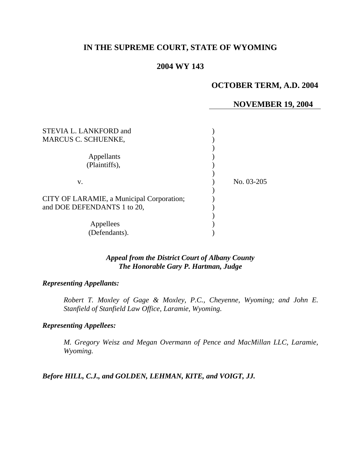# **IN THE SUPREME COURT, STATE OF WYOMING**

# **2004 WY 143**

# **OCTOBER TERM, A.D. 2004**

### **NOVEMBER 19, 2004**

| STEVIA L. LANKFORD and                    |            |
|-------------------------------------------|------------|
| <b>MARCUS C. SCHUENKE,</b>                |            |
|                                           |            |
| Appellants                                |            |
| (Plaintiffs),                             |            |
|                                           |            |
| V.                                        | No. 03-205 |
|                                           |            |
| CITY OF LARAMIE, a Municipal Corporation; |            |
| and DOE DEFENDANTS 1 to 20,               |            |
|                                           |            |
| Appellees                                 |            |
| (Defendants).                             |            |

## *Appeal from the District Court of Albany County The Honorable Gary P. Hartman, Judge*

## *Representing Appellants:*

*Robert T. Moxley of Gage & Moxley, P.C., Cheyenne, Wyoming; and John E. Stanfield of Stanfield Law Office, Laramie, Wyoming.* 

#### *Representing Appellees:*

*M. Gregory Weisz and Megan Overmann of Pence and MacMillan LLC, Laramie, Wyoming.* 

*Before HILL, C.J., and GOLDEN, LEHMAN, KITE, and VOIGT, JJ.*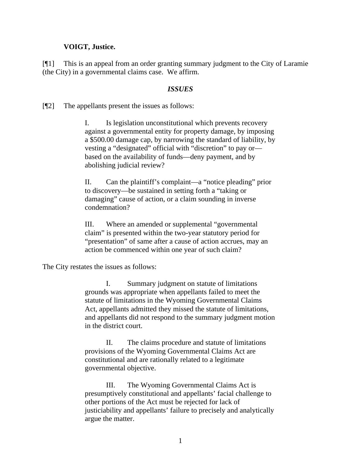### **VOIGT, Justice.**

[¶1] This is an appeal from an order granting summary judgment to the City of Laramie (the City) in a governmental claims case. We affirm.

#### *ISSUES*

[¶2] The appellants present the issues as follows:

I. Is legislation unconstitutional which prevents recovery against a governmental entity for property damage, by imposing a \$500.00 damage cap, by narrowing the standard of liability, by vesting a "designated" official with "discretion" to pay or based on the availability of funds—deny payment, and by abolishing judicial review?

II. Can the plaintiff's complaint—a "notice pleading" prior to discovery—be sustained in setting forth a "taking or damaging" cause of action, or a claim sounding in inverse condemnation?

III. Where an amended or supplemental "governmental claim" is presented within the two-year statutory period for "presentation" of same after a cause of action accrues, may an action be commenced within one year of such claim?

The City restates the issues as follows:

I. Summary judgment on statute of limitations grounds was appropriate when appellants failed to meet the statute of limitations in the Wyoming Governmental Claims Act, appellants admitted they missed the statute of limitations, and appellants did not respond to the summary judgment motion in the district court.

 II. The claims procedure and statute of limitations provisions of the Wyoming Governmental Claims Act are constitutional and are rationally related to a legitimate governmental objective.

III. The Wyoming Governmental Claims Act is presumptively constitutional and appellants' facial challenge to other portions of the Act must be rejected for lack of justiciability and appellants' failure to precisely and analytically argue the matter.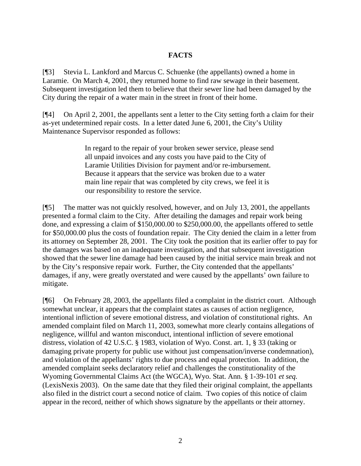## **FACTS**

[¶3] Stevia L. Lankford and Marcus C. Schuenke (the appellants) owned a home in Laramie. On March 4, 2001, they returned home to find raw sewage in their basement. Subsequent investigation led them to believe that their sewer line had been damaged by the City during the repair of a water main in the street in front of their home.

[¶4] On April 2, 2001, the appellants sent a letter to the City setting forth a claim for their as-yet undetermined repair costs. In a letter dated June 6, 2001, the City's Utility Maintenance Supervisor responded as follows:

> In regard to the repair of your broken sewer service, please send all unpaid invoices and any costs you have paid to the City of Laramie Utilities Division for payment and/or re-imbursement. Because it appears that the service was broken due to a water main line repair that was completed by city crews, we feel it is our responsibility to restore the service.

[¶5] The matter was not quickly resolved, however, and on July 13, 2001, the appellants presented a formal claim to the City. After detailing the damages and repair work being done, and expressing a claim of \$150,000.00 to \$250,000.00, the appellants offered to settle for \$50,000.00 plus the costs of foundation repair. The City denied the claim in a letter from its attorney on September 28, 2001. The City took the position that its earlier offer to pay for the damages was based on an inadequate investigation, and that subsequent investigation showed that the sewer line damage had been caused by the initial service main break and not by the City's responsive repair work. Further, the City contended that the appellants' damages, if any, were greatly overstated and were caused by the appellants' own failure to mitigate.

[¶6] On February 28, 2003, the appellants filed a complaint in the district court. Although somewhat unclear, it appears that the complaint states as causes of action negligence, intentional infliction of severe emotional distress, and violation of constitutional rights. An amended complaint filed on March 11, 2003, somewhat more clearly contains allegations of negligence, willful and wanton misconduct, intentional infliction of severe emotional distress, violation of 42 U.S.C. § 1983, violation of Wyo. Const. art. 1, § 33 (taking or damaging private property for public use without just compensation/inverse condemnation), and violation of the appellants' rights to due process and equal protection. In addition, the amended complaint seeks declaratory relief and challenges the constitutionality of the Wyoming Governmental Claims Act (the WGCA), Wyo. Stat. Ann. § 1-39-101 *et seq.* (LexisNexis 2003). On the same date that they filed their original complaint, the appellants also filed in the district court a second notice of claim. Two copies of this notice of claim appear in the record, neither of which shows signature by the appellants or their attorney.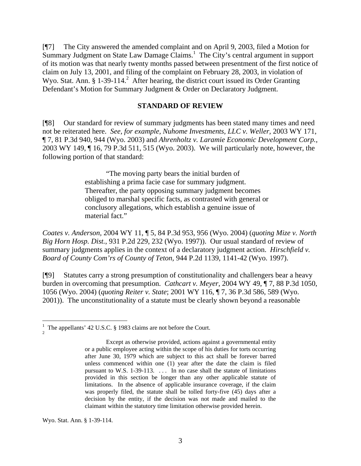[¶7] The City answered the amended complaint and on April 9, 2003, filed a Motion for Summary Judgment on State Law Damage Claims.<sup>1</sup> The City's central argument in support of its motion was that nearly twenty months passed between presentment of the first notice of claim on July 13, 2001, and filing of the complaint on February 28, 2003, in violation of Wyo. Stat. Ann. § 1-39-114. $^2$  After hearing, the district court issued its Order Granting Defendant's Motion for Summary Judgment & Order on Declaratory Judgment.

#### **STANDARD OF REVIEW**

[¶8] Our standard for review of summary judgments has been stated many times and need not be reiterated here. *See, for example, Nuhome Investments, LLC v. Weller,* 2003 WY 171, ¶ 7, 81 P.3d 940, 944 (Wyo. 2003) and *Ahrenholtz v. Laramie Economic Development Corp.,*  2003 WY 149, ¶ 16, 79 P.3d 511, 515 (Wyo. 2003). We will particularly note, however, the following portion of that standard:

> "The moving party bears the initial burden of establishing a prima facie case for summary judgment. Thereafter, the party opposing summary judgment becomes obliged to marshal specific facts, as contrasted with general or conclusory allegations, which establish a genuine issue of material fact."

*Coates v. Anderson,* 2004 WY 11, ¶ 5, 84 P.3d 953, 956 (Wyo. 2004) (*quoting Mize v. North Big Horn Hosp. Dist.*, 931 P.2d 229, 232 (Wyo. 1997)). Our usual standard of review of summary judgments applies in the context of a declaratory judgment action. *Hirschfield v. Board of County Com'rs of County of Teton,* 944 P.2d 1139, 1141-42 (Wyo. 1997).

[¶9] Statutes carry a strong presumption of constitutionality and challengers bear a heavy burden in overcoming that presumption. *Cathcart v. Meyer,* 2004 WY 49, ¶ 7, 88 P.3d 1050, 1056 (Wyo. 2004) (*quoting Reiter v. State*; 2001 WY 116, ¶ 7, 36 P.3d 586, 589 (Wyo. 2001)). The unconstitutionality of a statute must be clearly shown beyond a reasonable

Wyo. Stat. Ann. § 1-39-114.

 $\overline{a}$ 

<sup>1</sup> The appellants' 42 U.S.C. § 1983 claims are not before the Court. 2

Except as otherwise provided, actions against a governmental entity or a public employee acting within the scope of his duties for torts occurring after June 30, 1979 which are subject to this act shall be forever barred unless commenced within one (1) year after the date the claim is filed pursuant to W.S. 1-39-113. ... In no case shall the statute of limitations provided in this section be longer than any other applicable statute of limitations. In the absence of applicable insurance coverage, if the claim was properly filed, the statute shall be tolled forty-five (45) days after a decision by the entity, if the decision was not made and mailed to the claimant within the statutory time limitation otherwise provided herein.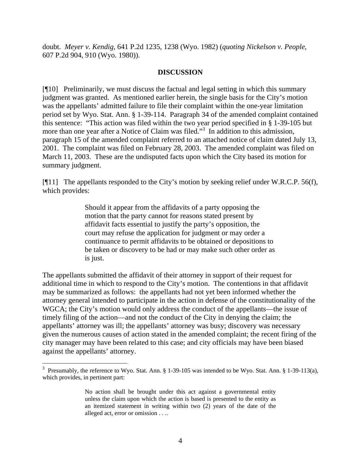doubt. *Meyer v. Kendig,* 641 P.2d 1235, 1238 (Wyo. 1982) (*quoting Nickelson v. People*, 607 P.2d 904, 910 (Wyo. 1980)).

### **DISCUSSION**

[¶10] Preliminarily, we must discuss the factual and legal setting in which this summary judgment was granted. As mentioned earlier herein, the single basis for the City's motion was the appellants' admitted failure to file their complaint within the one-year limitation period set by Wyo. Stat. Ann. § 1-39-114. Paragraph 34 of the amended complaint contained this sentence: "This action was filed within the two year period specified in § 1-39-105 but more than one year after a Notice of Claim was filed."<sup>3</sup> In addition to this admission, paragraph 15 of the amended complaint referred to an attached notice of claim dated July 13, 2001. The complaint was filed on February 28, 2003. The amended complaint was filed on March 11, 2003. These are the undisputed facts upon which the City based its motion for summary judgment.

[¶11] The appellants responded to the City's motion by seeking relief under W.R.C.P. 56(f), which provides:

> Should it appear from the affidavits of a party opposing the motion that the party cannot for reasons stated present by affidavit facts essential to justify the party's opposition, the court may refuse the application for judgment or may order a continuance to permit affidavits to be obtained or depositions to be taken or discovery to be had or may make such other order as is just.

The appellants submitted the affidavit of their attorney in support of their request for additional time in which to respond to the City's motion. The contentions in that affidavit may be summarized as follows: the appellants had not yet been informed whether the attorney general intended to participate in the action in defense of the constitutionality of the WGCA; the City's motion would only address the conduct of the appellants—the issue of timely filing of the action—and not the conduct of the City in denying the claim; the appellants' attorney was ill; the appellants' attorney was busy; discovery was necessary given the numerous causes of action stated in the amended complaint; the recent firing of the city manager may have been related to this case; and city officials may have been biased against the appellants' attorney.

 $\overline{a}$ 

<sup>&</sup>lt;sup>3</sup> Presumably, the reference to Wyo. Stat. Ann.  $\S 1-39-105$  was intended to be Wyo. Stat. Ann.  $\S 1-39-113(a)$ , which provides, in pertinent part:

No action shall be brought under this act against a governmental entity unless the claim upon which the action is based is presented to the entity as an itemized statement in writing within two (2) years of the date of the alleged act, error or omission . . ..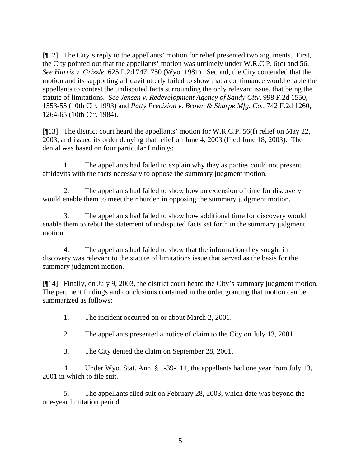[¶12] The City's reply to the appellants' motion for relief presented two arguments. First, the City pointed out that the appellants' motion was untimely under W.R.C.P. 6(c) and 56. *See Harris v. Grizzle,* 625 P.2d 747, 750 (Wyo. 1981). Second, the City contended that the motion and its supporting affidavit utterly failed to show that a continuance would enable the appellants to contest the undisputed facts surrounding the only relevant issue, that being the statute of limitations. *See Jensen v. Redevelopment Agency of Sandy City,* 998 F.2d 1550, 1553-55 (10th Cir. 1993) and *Patty Precision v. Brown & Sharpe Mfg. Co.,* 742 F.2d 1260, 1264-65 (10th Cir. 1984).

[¶13] The district court heard the appellants' motion for W.R.C.P. 56(f) relief on May 22, 2003, and issued its order denying that relief on June 4, 2003 (filed June 18, 2003). The denial was based on four particular findings:

1. The appellants had failed to explain why they as parties could not present affidavits with the facts necessary to oppose the summary judgment motion.

2. The appellants had failed to show how an extension of time for discovery would enable them to meet their burden in opposing the summary judgment motion.

3. The appellants had failed to show how additional time for discovery would enable them to rebut the statement of undisputed facts set forth in the summary judgment motion.

4. The appellants had failed to show that the information they sought in discovery was relevant to the statute of limitations issue that served as the basis for the summary judgment motion.

[¶14] Finally, on July 9, 2003, the district court heard the City's summary judgment motion. The pertinent findings and conclusions contained in the order granting that motion can be summarized as follows:

1. The incident occurred on or about March 2, 2001.

2. The appellants presented a notice of claim to the City on July 13, 2001.

3. The City denied the claim on September 28, 2001.

4. Under Wyo. Stat. Ann. § 1-39-114, the appellants had one year from July 13, 2001 in which to file suit.

5. The appellants filed suit on February 28, 2003, which date was beyond the one-year limitation period.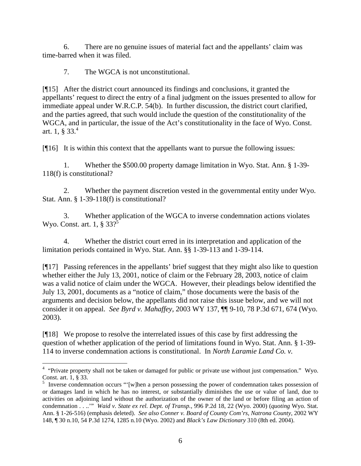6. There are no genuine issues of material fact and the appellants' claim was time-barred when it was filed.

7. The WGCA is not unconstitutional.

[¶15] After the district court announced its findings and conclusions, it granted the appellants' request to direct the entry of a final judgment on the issues presented to allow for immediate appeal under W.R.C.P. 54(b). In further discussion, the district court clarified, and the parties agreed, that such would include the question of the constitutionality of the WGCA, and in particular, the issue of the Act's constitutionality in the face of Wyo. Const. art. 1,  $\S 33<sup>4</sup>$ 

[¶16] It is within this context that the appellants want to pursue the following issues:

1. Whether the \$500.00 property damage limitation in Wyo. Stat. Ann. § 1-39- 118(f) is constitutional?

2. Whether the payment discretion vested in the governmental entity under Wyo. Stat. Ann. § 1-39-118(f) is constitutional?

3. Whether application of the WGCA to inverse condemnation actions violates Wyo. Const. art. 1,  $\S 33$ ?<sup>5</sup>

4. Whether the district court erred in its interpretation and application of the limitation periods contained in Wyo. Stat. Ann. §§ 1-39-113 and 1-39-114.

[¶17] Passing references in the appellants' brief suggest that they might also like to question whether either the July 13, 2001, notice of claim or the February 28, 2003, notice of claim was a valid notice of claim under the WGCA. However, their pleadings below identified the July 13, 2001, documents as a "notice of claim," those documents were the basis of the arguments and decision below, the appellants did not raise this issue below, and we will not consider it on appeal. *See Byrd v. Mahaffey,* 2003 WY 137, ¶¶ 9-10, 78 P.3d 671, 674 (Wyo. 2003).

[¶18] We propose to resolve the interrelated issues of this case by first addressing the question of whether application of the period of limitations found in Wyo. Stat. Ann. § 1-39- 114 to inverse condemnation actions is constitutional. In *North Laramie Land Co. v.* 

The 4 "Private property shall not be taken or damaged for public or private use without just compensation." Wyo. Const. art.  $1, § 33$ .

 $\frac{5}{10}$  Inverse condemnation occurs "'[w]hen a person possessing the power of condemnation takes possession of or damages land in which he has no interest, or substantially diminishes the use or value of land, due to activities on adjoining land without the authorization of the owner of the land or before filing an action of condemnation . . ..'" *Waid v. State ex rel. Dept. of Transp.,* 996 P.2d 18, 22 (Wyo. 2000) (*quoting* Wyo. Stat. Ann. § 1-26-516) (emphasis deleted). *See also Conner v. Board of County Com'rs, Natrona County,* 2002 WY 148, ¶ 30 n.10, 54 P.3d 1274, 1285 n.10 (Wyo. 2002) and *Black's Law Dictionary* 310 (8th ed. 2004).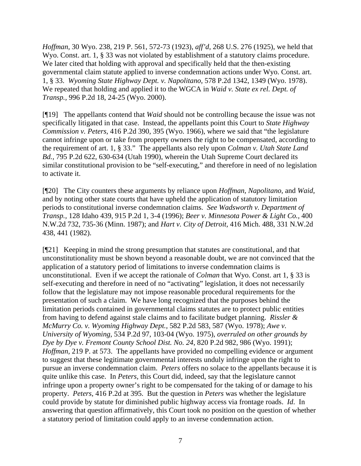*Hoffman,* 30 Wyo. 238, 219 P. 561, 572-73 (1923), *aff'd*, 268 U.S. 276 (1925), we held that Wyo. Const. art. 1, § 33 was not violated by establishment of a statutory claims procedure. We later cited that holding with approval and specifically held that the then-existing governmental claim statute applied to inverse condemnation actions under Wyo. Const. art. 1, § 33. *Wyoming State Highway Dept. v. Napolitano,* 578 P.2d 1342, 1349 (Wyo. 1978). We repeated that holding and applied it to the WGCA in *Waid v. State ex rel. Dept. of Transp.,* 996 P.2d 18, 24-25 (Wyo. 2000).

[¶19] The appellants contend that *Waid* should not be controlling because the issue was not specifically litigated in that case. Instead, the appellants point this Court to *State Highway Commission v. Peters,* 416 P.2d 390, 395 (Wyo. 1966), where we said that "the legislature cannot infringe upon or take from property owners the right to be compensated, according to the requirement of art. 1, § 33." The appellants also rely upon *Colman v. Utah State Land Bd.,* 795 P.2d 622, 630-634 (Utah 1990), wherein the Utah Supreme Court declared its similar constitutional provision to be "self-executing," and therefore in need of no legislation to activate it.

[¶20] The City counters these arguments by reliance upon *Hoffman, Napolitano,* and *Waid*, and by noting other state courts that have upheld the application of statutory limitation periods to constitutional inverse condemnation claims. *See Wadsworth v. Department of Transp.,* 128 Idaho 439, 915 P.2d 1, 3-4 (1996); *Beer v. Minnesota Power & Light Co.,* 400 N.W.2d 732, 735-36 (Minn. 1987); and *Hart v. City of Detroit,* 416 Mich. 488, 331 N.W.2d 438, 441 (1982).

[¶21] Keeping in mind the strong presumption that statutes are constitutional, and that unconstitutionality must be shown beyond a reasonable doubt, we are not convinced that the application of a statutory period of limitations to inverse condemnation claims is unconstitutional. Even if we accept the rationale of *Colman* that Wyo. Const. art 1, § 33 is self-executing and therefore in need of no "activating" legislation, it does not necessarily follow that the legislature may not impose reasonable procedural requirements for the presentation of such a claim. We have long recognized that the purposes behind the limitation periods contained in governmental claims statutes are to protect public entities from having to defend against stale claims and to facilitate budget planning. *Rissler & McMurry Co. v. Wyoming Highway Dept.,* 582 P.2d 583, 587 (Wyo. 1978); *Awe v. University of Wyoming,* 534 P.2d 97, 103-04 (Wyo. 1975), *overruled on other grounds by Dye by Dye v. Fremont County School Dist. No. 24*, 820 P.2d 982, 986 (Wyo. 1991); *Hoffman,* 219 P. at 573. The appellants have provided no compelling evidence or argument to suggest that these legitimate governmental interests unduly infringe upon the right to pursue an inverse condemnation claim. *Peters* offers no solace to the appellants because it is quite unlike this case. In *Peters,* this Court did, indeed, say that the legislature cannot infringe upon a property owner's right to be compensated for the taking of or damage to his property. *Peters*, 416 P.2d at 395. But the question in *Peters* was whether the legislature could provide by statute for diminished public highway access via frontage roads. *Id*. In answering that question affirmatively, this Court took no position on the question of whether a statutory period of limitation could apply to an inverse condemnation action.